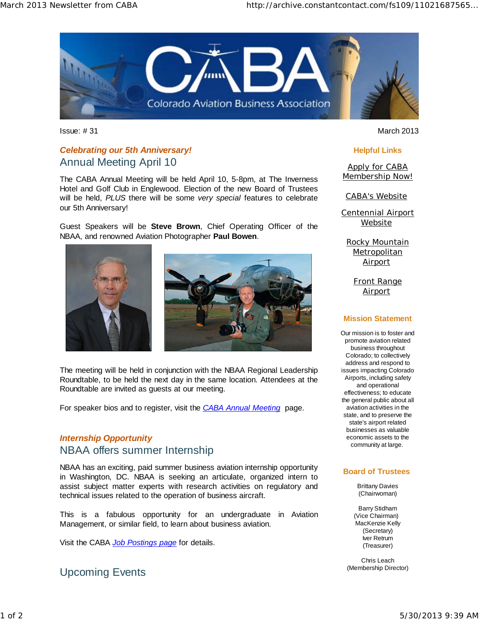

# *Celebrating our 5th Anniversary!*  Annual Meeting April 10

The CABA Annual Meeting will be held April 10, 5-8pm, at The Inverness Hotel and Golf Club in Englewood. Election of the new Board of Trustees will be held, *PLUS* there will be some *very special* features to celebrate our 5th Anniversary!

Guest Speakers will be **Steve Brown**, Chief Operating Officer of the NBAA, and renowned Aviation Photographer **Paul Bowen**.





The meeting will be held in conjunction with the NBAA Regional Leadership Roundtable, to be held the next day in the same location. Attendees at the Roundtable are invited as guests at our meeting.

For speaker bios and to register, visit the *CABA Annual Meeting* page.

# *Internship Opportunity*  NBAA offers summer Internship

NBAA has an exciting, paid summer business aviation internship opportunity in Washington, DC. NBAA is seeking an articulate, organized intern to assist subject matter experts with research activities on regulatory and technical issues related to the operation of business aircraft.

This is a fabulous opportunity for an undergraduate in Aviation Management, or similar field, to learn about business aviation.

Visit the CABA *Job Postings page* for details.

Upcoming Events

Issue: # 31 March 2013

#### **Helpful Links**

Apply for CABA Membership Now!

CABA's Website

Centennial Airport Website

Rocky Mountain **Metropolitan** Airport

Front Range Airport

### **Mission Statement**

Our mission is to foster and promote aviation related business throughout Colorado; to collectively address and respond to issues impacting Colorado Airports, including safety and operational effectiveness; to educate the general public about all aviation activities in the state, and to preserve the state's airport related businesses as valuable economic assets to the community at large.

### **Board of Trustees**

Brittany Davies (Chairwoman)

Barry Stidham (Vice Chairman) MacKenzie Kelly (Secretary) Iver Retrum (Treasurer)

Chris Leach (Membership Director)